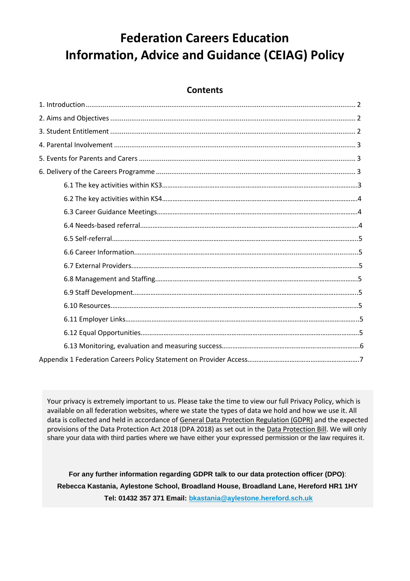# **Federation Careers Education Information, Advice and Guidance (CEIAG) Policy**

## **Contents**

Your privacy is extremely important to us. Please take the time to view our full Privacy Policy, which is available on all federation websites, where we state the types of data we hold and how we use it. All data is collected and held in accordance o[f General Data Protection Regulation \(GDPR\)](http://data.consilium.europa.eu/doc/document/ST-5419-2016-INIT/en/pdf) and the expected provisions of the Data Protection Act 2018 (DPA 2018) as set out in the [Data Protection Bill.](https://publications.parliament.uk/pa/bills/cbill/2017-2019/0153/18153.pdf) We will only share your data with third parties where we have either your expressed permission or the law requires it.

**For any further information regarding GDPR talk to our data protection officer (DPO)**: **Rebecca Kastania, Aylestone School, Broadland House, Broadland Lane, Hereford HR1 1HY Tel: 01432 357 371 Email: [bkastania@aylestone.hereford.sch.uk](mailto:bkastania@aylestone.hereford.sch.uk)**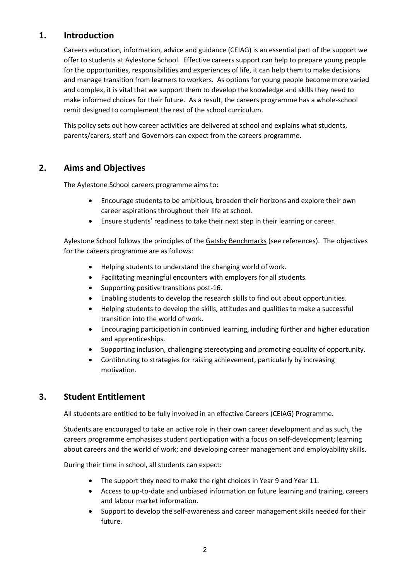## **1. Introduction**

Careers education, information, advice and guidance (CEIAG) is an essential part of the support we offer to students at Aylestone School. Effective careers support can help to prepare young people for the opportunities, responsibilities and experiences of life, it can help them to make decisions and manage transition from learners to workers. As options for young people become more varied and complex, it is vital that we support them to develop the knowledge and skills they need to make informed choices for their future. As a result, the careers programme has a whole-school remit designed to complement the rest of the school curriculum.

This policy sets out how career activities are delivered at school and explains what students, parents/carers, staff and Governors can expect from the careers programme.

# **2. Aims and Objectives**

The Aylestone School careers programme aims to:

- Encourage students to be ambitious, broaden their horizons and explore their own career aspirations throughout their life at school.
- Ensure students' readiness to take their next step in their learning or career.

Aylestone School follows the principles of the Gatsby Benchmarks (see references). The objectives for the careers programme are as follows:

- Helping students to understand the changing world of work.
- Facilitating meaningful encounters with employers for all students.
- Supporting positive transitions post-16.
- Enabling students to develop the research skills to find out about opportunities.
- Helping students to develop the skills, attitudes and qualities to make a successful transition into the world of work.
- Encouraging participation in continued learning, including further and higher education and apprenticeships.
- Supporting inclusion, challenging stereotyping and promoting equality of opportunity.
- Contibruting to strategies for raising achievement, particularly by increasing motivation.

## **3. Student Entitlement**

All students are entitled to be fully involved in an effective Careers (CEIAG) Programme.

Students are encouraged to take an active role in their own career development and as such, the careers programme emphasises student participation with a focus on self-development; learning about careers and the world of work; and developing career management and employability skills.

During their time in school, all students can expect:

- The support they need to make the right choices in Year 9 and Year 11.
- Access to up-to-date and unbiased information on future learning and training, careers and labour market information.
- Support to develop the self-awareness and career management skills needed for their future.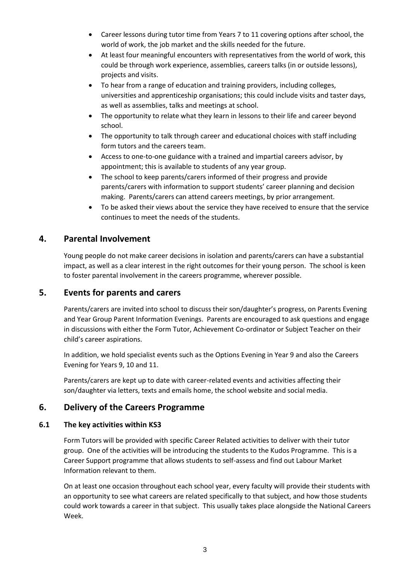- Career lessons during tutor time from Years 7 to 11 covering options after school, the world of work, the job market and the skills needed for the future.
- At least four meaningful encounters with representatives from the world of work, this could be through work experience, assemblies, careers talks (in or outside lessons), projects and visits.
- To hear from a range of education and training providers, including colleges, universities and apprenticeship organisations; this could include visits and taster days, as well as assemblies, talks and meetings at school.
- The opportunity to relate what they learn in lessons to their life and career beyond school.
- The opportunity to talk through career and educational choices with staff including form tutors and the careers team.
- Access to one-to-one guidance with a trained and impartial careers advisor, by appointment; this is available to students of any year group.
- The school to keep parents/carers informed of their progress and provide parents/carers with information to support students' career planning and decision making. Parents/carers can attend careers meetings, by prior arrangement.
- To be asked their views about the service they have received to ensure that the service continues to meet the needs of the students.

## **4. Parental Involvement**

Young people do not make career decisions in isolation and parents/carers can have a substantial impact, as well as a clear interest in the right outcomes for their young person. The school is keen to foster parental involvement in the careers programme, wherever possible.

## **5. Events for parents and carers**

Parents/carers are invited into school to discuss their son/daughter's progress, on Parents Evening and Year Group Parent Information Evenings. Parents are encouraged to ask questions and engage in discussions with either the Form Tutor, Achievement Co-ordinator or Subject Teacher on their child's career aspirations.

In addition, we hold specialist events such as the Options Evening in Year 9 and also the Careers Evening for Years 9, 10 and 11.

Parents/carers are kept up to date with career-related events and activities affecting their son/daughter via letters, texts and emails home, the school website and social media.

## **6. Delivery of the Careers Programme**

#### **6.1 The key activities within KS3**

Form Tutors will be provided with specific Career Related activities to deliver with their tutor group. One of the activities will be introducing the students to the Kudos Programme. This is a Career Support programme that allows students to self-assess and find out Labour Market Information relevant to them.

On at least one occasion throughout each school year, every faculty will provide their students with an opportunity to see what careers are related specifically to that subject, and how those students could work towards a career in that subject. This usually takes place alongside the National Careers Week.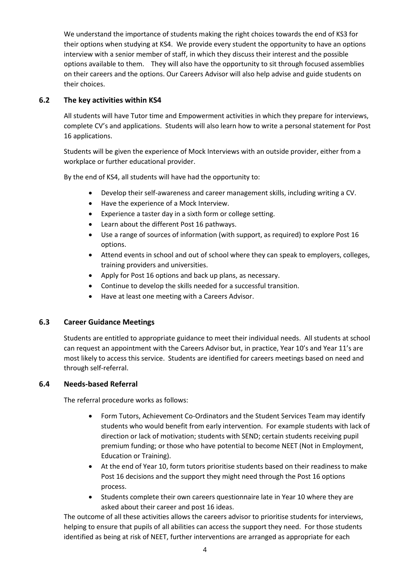We understand the importance of students making the right choices towards the end of KS3 for their options when studying at KS4. We provide every student the opportunity to have an options interview with a senior member of staff, in which they discuss their interest and the possible options available to them. They will also have the opportunity to sit through focused assemblies on their careers and the options. Our Careers Advisor will also help advise and guide students on their choices.

### **6.2 The key activities within KS4**

All students will have Tutor time and Empowerment activities in which they prepare for interviews, complete CV's and applications. Students will also learn how to write a personal statement for Post 16 applications.

Students will be given the experience of Mock Interviews with an outside provider, either from a workplace or further educational provider.

By the end of KS4, all students will have had the opportunity to:

- Develop their self-awareness and career management skills, including writing a CV.
- Have the experience of a Mock Interview.
- Experience a taster day in a sixth form or college setting.
- Learn about the different Post 16 pathways.
- Use a range of sources of information (with support, as required) to explore Post 16 options.
- Attend events in school and out of school where they can speak to employers, colleges, training providers and universities.
- Apply for Post 16 options and back up plans, as necessary.
- Continue to develop the skills needed for a successful transition.
- Have at least one meeting with a Careers Advisor.

#### **6.3 Career Guidance Meetings**

Students are entitled to appropriate guidance to meet their individual needs. All students at school can request an appointment with the Careers Advisor but, in practice, Year 10's and Year 11's are most likely to access this service. Students are identified for careers meetings based on need and through self-referral.

#### **6.4 Needs-based Referral**

The referral procedure works as follows:

- Form Tutors, Achievement Co-Ordinators and the Student Services Team may identify students who would benefit from early intervention. For example students with lack of direction or lack of motivation; students with SEND; certain students receiving pupil premium funding; or those who have potential to become NEET (Not in Employment, Education or Training).
- At the end of Year 10, form tutors prioritise students based on their readiness to make Post 16 decisions and the support they might need through the Post 16 options process.
- Students complete their own careers questionnaire late in Year 10 where they are asked about their career and post 16 ideas.

The outcome of all these activities allows the careers advisor to prioritise students for interviews, helping to ensure that pupils of all abilities can access the support they need. For those students identified as being at risk of NEET, further interventions are arranged as appropriate for each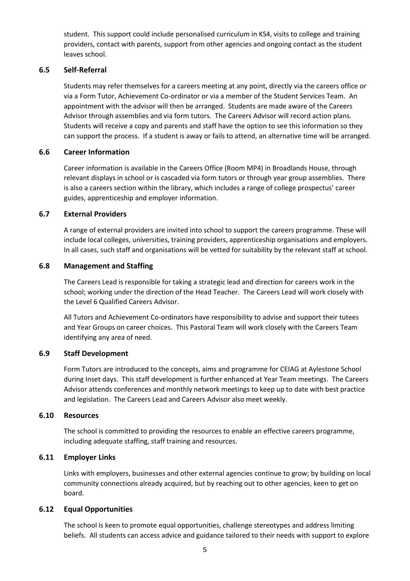student. This support could include personalised curriculum in KS4, visits to college and training providers, contact with parents, support from other agencies and ongoing contact as the student leaves school.

#### **6.5 Self-Referral**

Students may refer themselves for a careers meeting at any point, directly via the careers office or via a Form Tutor, Achievement Co-ordinator or via a member of the Student Services Team. An appointment with the advisor will then be arranged. Students are made aware of the Careers Advisor through assemblies and via form tutors. The Careers Advisor will record action plans. Students will receive a copy and parents and staff have the option to see this information so they can support the process. If a student is away or fails to attend, an alternative time will be arranged.

#### **6.6 Career Information**

Career information is available in the Careers Office (Room MP4) in Broadlands House, through relevant displays in school or is cascaded via form tutors or through year group assemblies. There is also a careers section within the library, which includes a range of college prospectus' career guides, apprenticeship and employer information.

#### **6.7 External Providers**

A range of external providers are invited into school to support the careers programme. These will include local colleges, universities, training providers, apprenticeship organisations and employers. In all cases, such staff and organisations will be vetted for suitability by the relevant staff at school.

#### **6.8 Management and Staffing**

The Careers Lead is responsible for taking a strategic lead and direction for careers work in the school; working under the direction of the Head Teacher. The Careers Lead will work closely with the Level 6 Qualified Careers Advisor.

All Tutors and Achievement Co-ordinators have responsibility to advise and support their tutees and Year Groups on career choices. This Pastoral Team will work closely with the Careers Team identifying any area of need.

#### **6.9 Staff Development**

Form Tutors are introduced to the concepts, aims and programme for CEIAG at Aylestone School during Inset days. This staff development is further enhanced at Year Team meetings. The Careers Advisor attends conferences and monthly network meetings to keep up to date with best practice and legislation. The Careers Lead and Careers Advisor also meet weekly.

#### **6.10 Resources**

The school is committed to providing the resources to enable an effective careers programme, including adequate staffing, staff training and resources.

#### **6.11 Employer Links**

Links with employers, businesses and other external agencies continue to grow; by building on local community connections already acquired, but by reaching out to other agencies, keen to get on board.

#### **6.12 Equal Opportunities**

The school is keen to promote equal opportunities, challenge stereotypes and address limiting beliefs. All students can access advice and guidance tailored to their needs with support to explore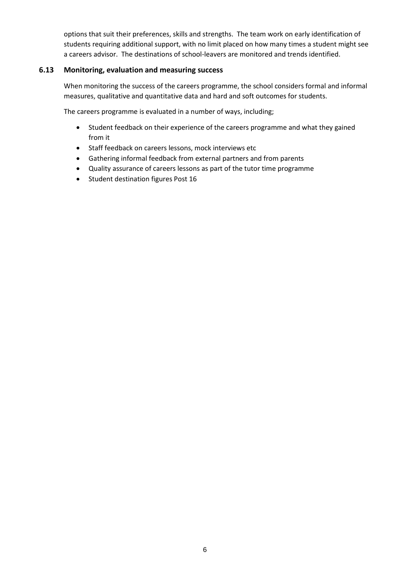options that suit their preferences, skills and strengths. The team work on early identification of students requiring additional support, with no limit placed on how many times a student might see a careers advisor. The destinations of school-leavers are monitored and trends identified.

#### **6.13 Monitoring, evaluation and measuring success**

When monitoring the success of the careers programme, the school considers formal and informal measures, qualitative and quantitative data and hard and soft outcomes for students.

The careers programme is evaluated in a number of ways, including;

- Student feedback on their experience of the careers programme and what they gained from it
- Staff feedback on careers lessons, mock interviews etc
- Gathering informal feedback from external partners and from parents
- Quality assurance of careers lessons as part of the tutor time programme
- Student destination figures Post 16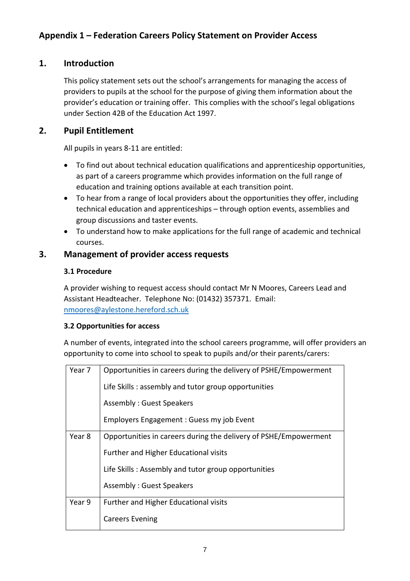# **1. Introduction**

This policy statement sets out the school's arrangements for managing the access of providers to pupils at the school for the purpose of giving them information about the provider's education or training offer. This complies with the school's legal obligations under Section 42B of the Education Act 1997.

# **2. Pupil Entitlement**

All pupils in years 8-11 are entitled:

- To find out about technical education qualifications and apprenticeship opportunities, as part of a careers programme which provides information on the full range of education and training options available at each transition point.
- To hear from a range of local providers about the opportunities they offer, including technical education and apprenticeships – through option events, assemblies and group discussions and taster events.
- To understand how to make applications for the full range of academic and technical courses.

# **3. Management of provider access requests**

## **3.1 Procedure**

A provider wishing to request access should contact Mr N Moores, Careers Lead and Assistant Headteacher. Telephone No: (01432) 357371. Email: [nmoores@aylestone.hereford.sch.uk](mailto:nmoores@aylestone.hereford.sch.uk)

## **3.2 Opportunities for access**

A number of events, integrated into the school careers programme, will offer providers an opportunity to come into school to speak to pupils and/or their parents/carers:

| Year 7 | Opportunities in careers during the delivery of PSHE/Empowerment |  |  |
|--------|------------------------------------------------------------------|--|--|
|        | Life Skills: assembly and tutor group opportunities              |  |  |
|        | Assembly: Guest Speakers                                         |  |  |
|        | Employers Engagement: Guess my job Event                         |  |  |
| Year 8 | Opportunities in careers during the delivery of PSHE/Empowerment |  |  |
|        | Further and Higher Educational visits                            |  |  |
|        | Life Skills: Assembly and tutor group opportunities              |  |  |
|        | <b>Assembly: Guest Speakers</b>                                  |  |  |
| Year 9 | Further and Higher Educational visits                            |  |  |
|        | <b>Careers Evening</b>                                           |  |  |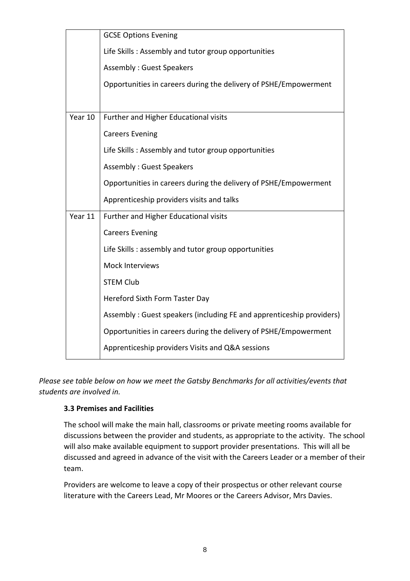|         | <b>GCSE Options Evening</b>                                          |  |  |
|---------|----------------------------------------------------------------------|--|--|
|         | Life Skills: Assembly and tutor group opportunities                  |  |  |
|         | <b>Assembly: Guest Speakers</b>                                      |  |  |
|         | Opportunities in careers during the delivery of PSHE/Empowerment     |  |  |
|         |                                                                      |  |  |
| Year 10 | Further and Higher Educational visits                                |  |  |
|         | <b>Careers Evening</b>                                               |  |  |
|         | Life Skills: Assembly and tutor group opportunities                  |  |  |
|         | <b>Assembly: Guest Speakers</b>                                      |  |  |
|         | Opportunities in careers during the delivery of PSHE/Empowerment     |  |  |
|         | Apprenticeship providers visits and talks                            |  |  |
| Year 11 | Further and Higher Educational visits                                |  |  |
|         | <b>Careers Evening</b>                                               |  |  |
|         | Life Skills: assembly and tutor group opportunities                  |  |  |
|         | Mock Interviews                                                      |  |  |
|         | <b>STEM Club</b>                                                     |  |  |
|         | Hereford Sixth Form Taster Day                                       |  |  |
|         | Assembly: Guest speakers (including FE and apprenticeship providers) |  |  |
|         | Opportunities in careers during the delivery of PSHE/Empowerment     |  |  |
|         | Apprenticeship providers Visits and Q&A sessions                     |  |  |

*Please see table below on how we meet the Gatsby Benchmarks for all activities/events that students are involved in.*

## **3.3 Premises and Facilities**

The school will make the main hall, classrooms or private meeting rooms available for discussions between the provider and students, as appropriate to the activity. The school will also make available equipment to support provider presentations. This will all be discussed and agreed in advance of the visit with the Careers Leader or a member of their team.

Providers are welcome to leave a copy of their prospectus or other relevant course literature with the Careers Lead, Mr Moores or the Careers Advisor, Mrs Davies.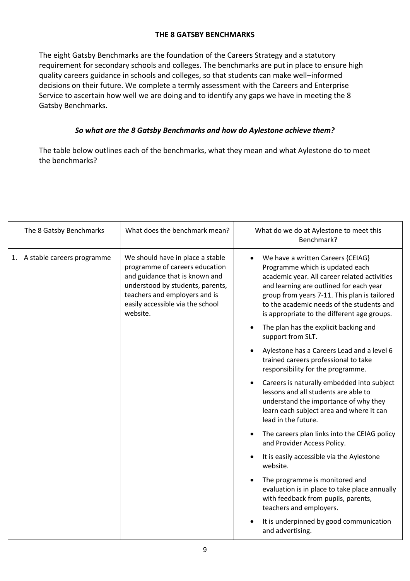## **THE 8 GATSBY BENCHMARKS**

The eight Gatsby Benchmarks are the foundation of the Careers Strategy and a statutory requirement for secondary schools and colleges. The benchmarks are put in place to ensure high quality careers guidance in schools and colleges, so that students can make well–informed decisions on their future. We complete a termly assessment with the Careers and Enterprise Service to ascertain how well we are doing and to identify any gaps we have in meeting the 8 Gatsby Benchmarks.

## *So what are the 8 Gatsby Benchmarks and how do Aylestone achieve them?*

The table below outlines each of the benchmarks, what they mean and what Aylestone do to meet the benchmarks?

| The 8 Gatsby Benchmarks       | What does the benchmark mean?                                                                                                                                                                                             | What do we do at Aylestone to meet this<br>Benchmark?                                                                                                                                                                                                                                                       |
|-------------------------------|---------------------------------------------------------------------------------------------------------------------------------------------------------------------------------------------------------------------------|-------------------------------------------------------------------------------------------------------------------------------------------------------------------------------------------------------------------------------------------------------------------------------------------------------------|
| 1. A stable careers programme | We should have in place a stable<br>programme of careers education<br>and guidance that is known and<br>understood by students, parents,<br>teachers and employers and is<br>easily accessible via the school<br>website. | We have a written Careers {CEIAG}<br>Programme which is updated each<br>academic year. All career related activities<br>and learning are outlined for each year<br>group from years 7-11. This plan is tailored<br>to the academic needs of the students and<br>is appropriate to the different age groups. |
|                               |                                                                                                                                                                                                                           | The plan has the explicit backing and<br>support from SLT.                                                                                                                                                                                                                                                  |
|                               |                                                                                                                                                                                                                           | Aylestone has a Careers Lead and a level 6<br>trained careers professional to take<br>responsibility for the programme.                                                                                                                                                                                     |
|                               |                                                                                                                                                                                                                           | Careers is naturally embedded into subject<br>lessons and all students are able to<br>understand the importance of why they<br>learn each subject area and where it can<br>lead in the future.                                                                                                              |
|                               |                                                                                                                                                                                                                           | The careers plan links into the CEIAG policy<br>and Provider Access Policy.                                                                                                                                                                                                                                 |
|                               |                                                                                                                                                                                                                           | It is easily accessible via the Aylestone<br>website.                                                                                                                                                                                                                                                       |
|                               |                                                                                                                                                                                                                           | The programme is monitored and<br>evaluation is in place to take place annually<br>with feedback from pupils, parents,<br>teachers and employers.                                                                                                                                                           |
|                               |                                                                                                                                                                                                                           | It is underpinned by good communication<br>and advertising.                                                                                                                                                                                                                                                 |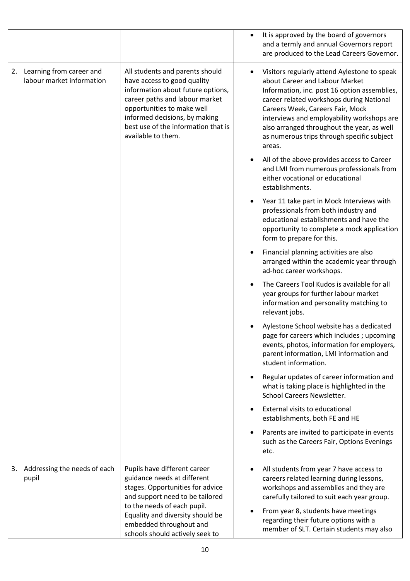|    |                                                       |                                                                                                                                                                                                                                                                   | $\bullet$ | It is approved by the board of governors<br>and a termly and annual Governors report<br>are produced to the Lead Careers Governor.                                                                                                                                                                                                                                 |
|----|-------------------------------------------------------|-------------------------------------------------------------------------------------------------------------------------------------------------------------------------------------------------------------------------------------------------------------------|-----------|--------------------------------------------------------------------------------------------------------------------------------------------------------------------------------------------------------------------------------------------------------------------------------------------------------------------------------------------------------------------|
| 2. | Learning from career and<br>labour market information | All students and parents should<br>have access to good quality<br>information about future options,<br>career paths and labour market<br>opportunities to make well<br>informed decisions, by making<br>best use of the information that is<br>available to them. | $\bullet$ | Visitors regularly attend Aylestone to speak<br>about Career and Labour Market<br>Information, inc. post 16 option assemblies,<br>career related workshops during National<br>Careers Week, Careers Fair, Mock<br>interviews and employability workshops are<br>also arranged throughout the year, as well<br>as numerous trips through specific subject<br>areas. |
|    |                                                       |                                                                                                                                                                                                                                                                   |           | All of the above provides access to Career<br>and LMI from numerous professionals from<br>either vocational or educational<br>establishments.                                                                                                                                                                                                                      |
|    |                                                       |                                                                                                                                                                                                                                                                   |           | Year 11 take part in Mock Interviews with<br>professionals from both industry and<br>educational establishments and have the<br>opportunity to complete a mock application<br>form to prepare for this.                                                                                                                                                            |
|    |                                                       |                                                                                                                                                                                                                                                                   | ٠         | Financial planning activities are also<br>arranged within the academic year through<br>ad-hoc career workshops.                                                                                                                                                                                                                                                    |
|    |                                                       |                                                                                                                                                                                                                                                                   |           | The Careers Tool Kudos is available for all<br>year groups for further labour market<br>information and personality matching to<br>relevant jobs.                                                                                                                                                                                                                  |
|    |                                                       |                                                                                                                                                                                                                                                                   |           | Aylestone School website has a dedicated<br>page for careers which includes; upcoming<br>events, photos, information for employers,<br>parent information, LMI information and<br>student information.                                                                                                                                                             |
|    |                                                       |                                                                                                                                                                                                                                                                   | ٠         | Regular updates of career information and<br>what is taking place is highlighted in the<br><b>School Careers Newsletter.</b>                                                                                                                                                                                                                                       |
|    |                                                       |                                                                                                                                                                                                                                                                   | $\bullet$ | External visits to educational<br>establishments, both FE and HE                                                                                                                                                                                                                                                                                                   |
|    |                                                       |                                                                                                                                                                                                                                                                   |           | Parents are invited to participate in events<br>such as the Careers Fair, Options Evenings<br>etc.                                                                                                                                                                                                                                                                 |
|    | 3. Addressing the needs of each<br>pupil              | Pupils have different career<br>guidance needs at different<br>stages. Opportunities for advice<br>and support need to be tailored<br>to the needs of each pupil.                                                                                                 | ٠         | All students from year 7 have access to<br>careers related learning during lessons,<br>workshops and assemblies and they are<br>carefully tailored to suit each year group.                                                                                                                                                                                        |
|    |                                                       | Equality and diversity should be<br>embedded throughout and<br>schools should actively seek to                                                                                                                                                                    | ٠         | From year 8, students have meetings<br>regarding their future options with a<br>member of SLT. Certain students may also                                                                                                                                                                                                                                           |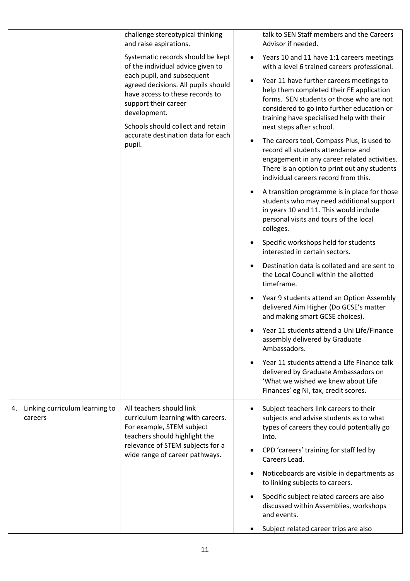| challenge stereotypical thinking<br>and raise aspirations.                                                                                                                                                                                                                                                  | talk to SEN Staff members and the Careers<br>Advisor if needed.                                                                                                                                                                                                                                                                                                                                                                                                                                                                                                                                                                                                                                                                                                                                                                                                                                                                                                                                                                                                                                                                                                                                                                                                                                                                                                                                                                          |
|-------------------------------------------------------------------------------------------------------------------------------------------------------------------------------------------------------------------------------------------------------------------------------------------------------------|------------------------------------------------------------------------------------------------------------------------------------------------------------------------------------------------------------------------------------------------------------------------------------------------------------------------------------------------------------------------------------------------------------------------------------------------------------------------------------------------------------------------------------------------------------------------------------------------------------------------------------------------------------------------------------------------------------------------------------------------------------------------------------------------------------------------------------------------------------------------------------------------------------------------------------------------------------------------------------------------------------------------------------------------------------------------------------------------------------------------------------------------------------------------------------------------------------------------------------------------------------------------------------------------------------------------------------------------------------------------------------------------------------------------------------------|
| Systematic records should be kept<br>of the individual advice given to<br>each pupil, and subsequent<br>agreed decisions. All pupils should<br>have access to these records to<br>support their career<br>development.<br>Schools should collect and retain<br>accurate destination data for each<br>pupil. | Years 10 and 11 have 1:1 careers meetings<br>٠<br>with a level 6 trained careers professional.<br>Year 11 have further careers meetings to<br>$\bullet$<br>help them completed their FE application<br>forms. SEN students or those who are not<br>considered to go into further education or<br>training have specialised help with their<br>next steps after school.<br>The careers tool, Compass Plus, is used to<br>$\bullet$<br>record all students attendance and<br>engagement in any career related activities.<br>There is an option to print out any students<br>individual careers record from this.<br>A transition programme is in place for those<br>٠<br>students who may need additional support<br>in years 10 and 11. This would include<br>personal visits and tours of the local<br>colleges.<br>Specific workshops held for students<br>$\bullet$<br>interested in certain sectors.<br>Destination data is collated and are sent to<br>$\bullet$<br>the Local Council within the allotted<br>timeframe.<br>Year 9 students attend an Option Assembly<br>delivered Aim Higher (Do GCSE's matter<br>and making smart GCSE choices).<br>Year 11 students attend a Uni Life/Finance<br>assembly delivered by Graduate<br>Ambassadors.<br>Year 11 students attend a Life Finance talk<br>$\bullet$<br>delivered by Graduate Ambassadors on<br>'What we wished we knew about Life<br>Finances' eg NI, tax, credit scores. |
| All teachers should link<br>curriculum learning with careers.<br>For example, STEM subject<br>teachers should highlight the<br>relevance of STEM subjects for a<br>wide range of career pathways.                                                                                                           | Subject teachers link careers to their<br>subjects and advise students as to what<br>types of careers they could potentially go<br>into.<br>CPD 'careers' training for staff led by<br>٠<br>Careers Lead.<br>Noticeboards are visible in departments as<br>$\bullet$<br>to linking subjects to careers.<br>Specific subject related careers are also<br>discussed within Assemblies, workshops<br>and events.<br>Subject related career trips are also                                                                                                                                                                                                                                                                                                                                                                                                                                                                                                                                                                                                                                                                                                                                                                                                                                                                                                                                                                                   |
|                                                                                                                                                                                                                                                                                                             |                                                                                                                                                                                                                                                                                                                                                                                                                                                                                                                                                                                                                                                                                                                                                                                                                                                                                                                                                                                                                                                                                                                                                                                                                                                                                                                                                                                                                                          |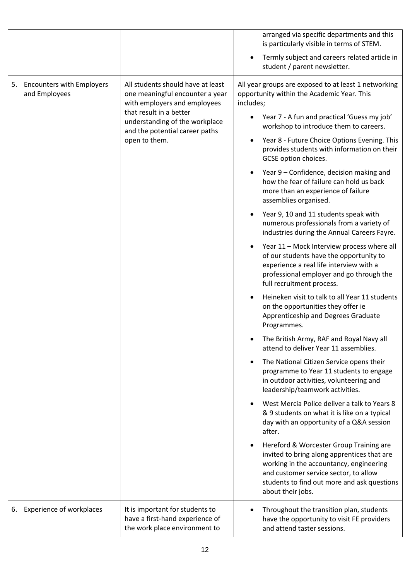|    |                                               |                                                                                                                                                                                                                      | arranged via specific departments and this<br>is particularly visible in terms of STEM.                                                                                                                                                        |
|----|-----------------------------------------------|----------------------------------------------------------------------------------------------------------------------------------------------------------------------------------------------------------------------|------------------------------------------------------------------------------------------------------------------------------------------------------------------------------------------------------------------------------------------------|
|    |                                               |                                                                                                                                                                                                                      | Termly subject and careers related article in<br>student / parent newsletter.                                                                                                                                                                  |
|    | 5. Encounters with Employers<br>and Employees | All students should have at least<br>one meaningful encounter a year<br>with employers and employees<br>that result in a better<br>understanding of the workplace<br>and the potential career paths<br>open to them. | All year groups are exposed to at least 1 networking<br>opportunity within the Academic Year. This<br>includes;                                                                                                                                |
|    |                                               |                                                                                                                                                                                                                      | Year 7 - A fun and practical 'Guess my job'<br>workshop to introduce them to careers.                                                                                                                                                          |
|    |                                               |                                                                                                                                                                                                                      | Year 8 - Future Choice Options Evening. This<br>٠<br>provides students with information on their<br>GCSE option choices.                                                                                                                       |
|    |                                               |                                                                                                                                                                                                                      | Year 9 – Confidence, decision making and<br>how the fear of failure can hold us back<br>more than an experience of failure<br>assemblies organised.                                                                                            |
|    |                                               |                                                                                                                                                                                                                      | Year 9, 10 and 11 students speak with<br>numerous professionals from a variety of<br>industries during the Annual Careers Fayre.                                                                                                               |
|    |                                               |                                                                                                                                                                                                                      | Year 11 - Mock Interview process where all<br>of our students have the opportunity to<br>experience a real life interview with a<br>professional employer and go through the<br>full recruitment process.                                      |
|    |                                               |                                                                                                                                                                                                                      | Heineken visit to talk to all Year 11 students<br>on the opportunities they offer ie<br>Apprenticeship and Degrees Graduate<br>Programmes.                                                                                                     |
|    |                                               |                                                                                                                                                                                                                      | The British Army, RAF and Royal Navy all<br>attend to deliver Year 11 assemblies.                                                                                                                                                              |
|    |                                               |                                                                                                                                                                                                                      | The National Citizen Service opens their<br>programme to Year 11 students to engage<br>in outdoor activities, volunteering and<br>leadership/teamwork activities.                                                                              |
|    |                                               |                                                                                                                                                                                                                      | West Mercia Police deliver a talk to Years 8<br>& 9 students on what it is like on a typical<br>day with an opportunity of a Q&A session<br>after.                                                                                             |
|    |                                               |                                                                                                                                                                                                                      | Hereford & Worcester Group Training are<br>invited to bring along apprentices that are<br>working in the accountancy, engineering<br>and customer service sector, to allow<br>students to find out more and ask questions<br>about their jobs. |
| 6. | <b>Experience of workplaces</b>               | It is important for students to<br>have a first-hand experience of<br>the work place environment to                                                                                                                  | Throughout the transition plan, students<br>have the opportunity to visit FE providers<br>and attend taster sessions.                                                                                                                          |